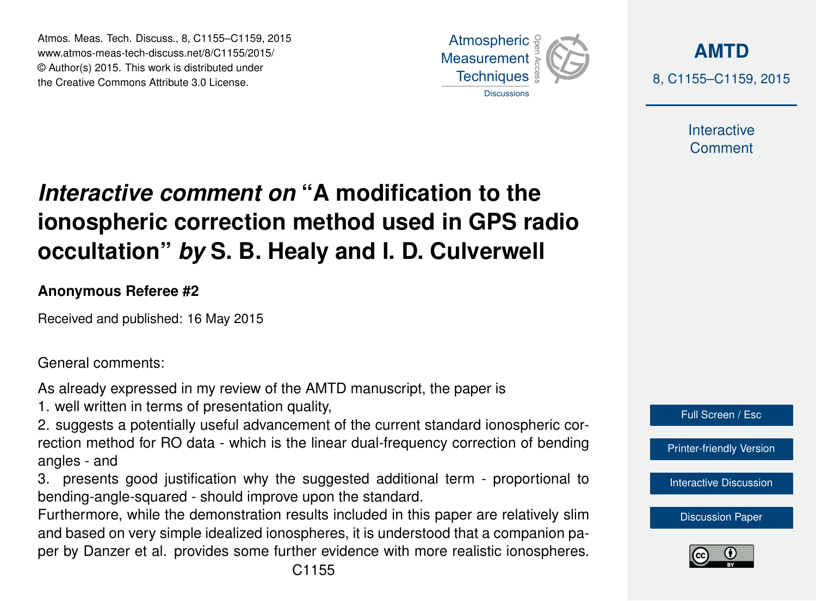Atmos. Meas. Tech. Discuss., 8, C1155–C1159, 2015 www.atmos-meas-tech-discuss.net/8/C1155/2015/ © Author(s) 2015. This work is distributed under the Creative Commons Attribute 3.0 License.



**[AMTD](http://www.atmos-meas-tech-discuss.net)** 8, C1155–C1159, 2015

> Interactive **Comment**

# *Interactive comment on* **"A modification to the ionospheric correction method used in GPS radio occultation"** *by* **S. B. Healy and I. D. Culverwell**

### **Anonymous Referee #2**

Received and published: 16 May 2015

General comments:

As already expressed in my review of the AMTD manuscript, the paper is

1. well written in terms of presentation quality,

2. suggests a potentially useful advancement of the current standard ionospheric correction method for RO data - which is the linear dual-frequency correction of bending angles - and

3. presents good justification why the suggested additional term - proportional to bending-angle-squared - should improve upon the standard.

Furthermore, while the demonstration results included in this paper are relatively slim and based on very simple idealized ionospheres, it is understood that a companion paper by Danzer et al. provides some further evidence with more realistic ionospheres.



[Printer-friendly Version](http://www.atmos-meas-tech-discuss.net/8/C1155/2015/amtd-8-C1155-2015-print.pdf)

[Interactive Discussion](http://www.atmos-meas-tech-discuss.net/8/1177/2015/amtd-8-1177-2015-discussion.html)

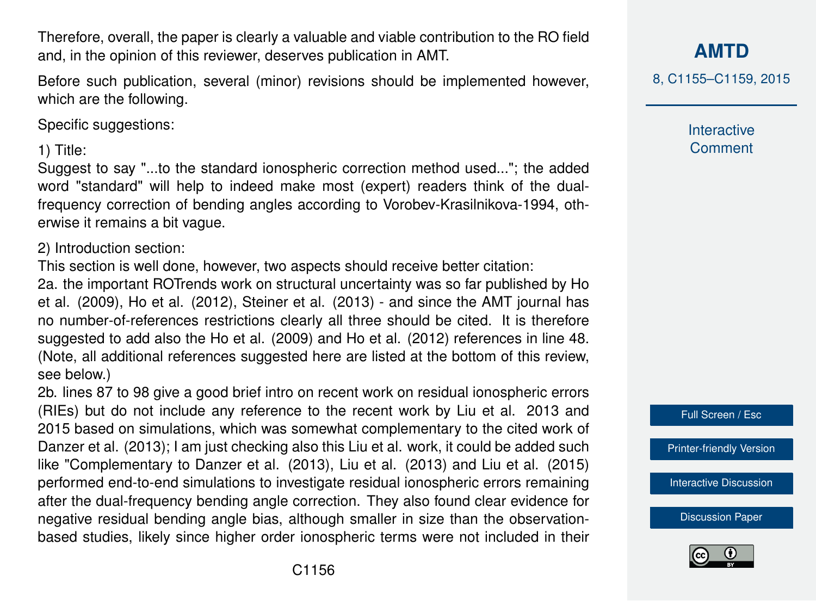Therefore, overall, the paper is clearly a valuable and viable contribution to the RO field and, in the opinion of this reviewer, deserves publication in AMT.

Before such publication, several (minor) revisions should be implemented however, which are the following.

Specific suggestions:

1) Title:

Suggest to say "...to the standard ionospheric correction method used..."; the added word "standard" will help to indeed make most (expert) readers think of the dualfrequency correction of bending angles according to Vorobev-Krasilnikova-1994, otherwise it remains a bit vague.

2) Introduction section:

This section is well done, however, two aspects should receive better citation:

2a. the important ROTrends work on structural uncertainty was so far published by Ho et al. (2009), Ho et al. (2012), Steiner et al. (2013) - and since the AMT journal has no number-of-references restrictions clearly all three should be cited. It is therefore suggested to add also the Ho et al. (2009) and Ho et al. (2012) references in line 48. (Note, all additional references suggested here are listed at the bottom of this review, see below.)

2b. lines 87 to 98 give a good brief intro on recent work on residual ionospheric errors (RIEs) but do not include any reference to the recent work by Liu et al. 2013 and 2015 based on simulations, which was somewhat complementary to the cited work of Danzer et al. (2013); I am just checking also this Liu et al. work, it could be added such like "Complementary to Danzer et al. (2013), Liu et al. (2013) and Liu et al. (2015) performed end-to-end simulations to investigate residual ionospheric errors remaining after the dual-frequency bending angle correction. They also found clear evidence for negative residual bending angle bias, although smaller in size than the observationbased studies, likely since higher order ionospheric terms were not included in their

## **[AMTD](http://www.atmos-meas-tech-discuss.net)**

8, C1155–C1159, 2015

Interactive **Comment** 



[Printer-friendly Version](http://www.atmos-meas-tech-discuss.net/8/C1155/2015/amtd-8-C1155-2015-print.pdf)

[Interactive Discussion](http://www.atmos-meas-tech-discuss.net/8/1177/2015/amtd-8-1177-2015-discussion.html)

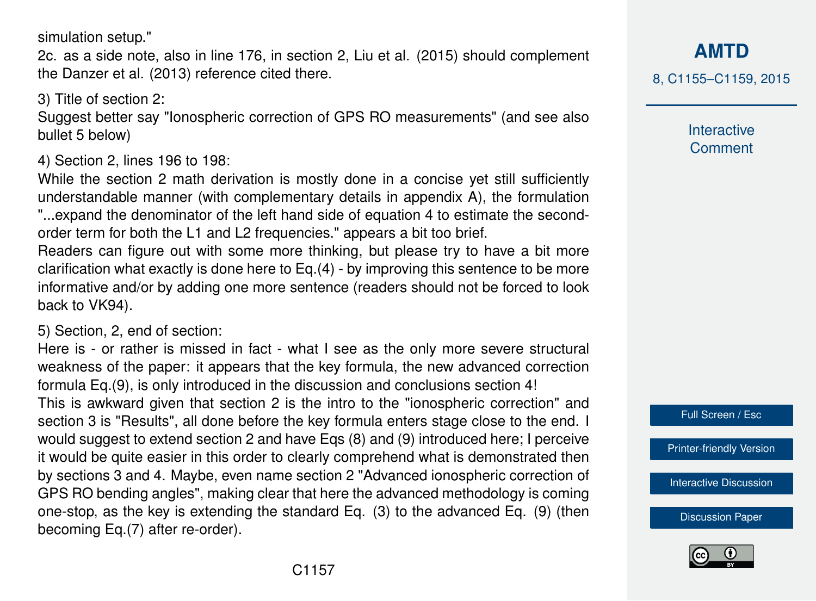simulation setup."

2c. as a side note, also in line 176, in section 2, Liu et al. (2015) should complement the Danzer et al. (2013) reference cited there.

#### 3) Title of section 2:

Suggest better say "Ionospheric correction of GPS RO measurements" (and see also bullet 5 below)

#### 4) Section 2, lines 196 to 198:

While the section 2 math derivation is mostly done in a concise yet still sufficiently understandable manner (with complementary details in appendix A), the formulation "...expand the denominator of the left hand side of equation 4 to estimate the secondorder term for both the L1 and L2 frequencies." appears a bit too brief.

Readers can figure out with some more thinking, but please try to have a bit more clarification what exactly is done here to Eq.(4) - by improving this sentence to be more informative and/or by adding one more sentence (readers should not be forced to look back to VK94).

#### 5) Section, 2, end of section:

Here is - or rather is missed in fact - what I see as the only more severe structural weakness of the paper: it appears that the key formula, the new advanced correction formula Eq.(9), is only introduced in the discussion and conclusions section 4! This is awkward given that section 2 is the intro to the "ionospheric correction" and section 3 is "Results", all done before the key formula enters stage close to the end. I would suggest to extend section 2 and have Eqs (8) and (9) introduced here; I perceive it would be quite easier in this order to clearly comprehend what is demonstrated then by sections 3 and 4. Maybe, even name section 2 "Advanced ionospheric correction of GPS RO bending angles", making clear that here the advanced methodology is coming one-stop, as the key is extending the standard Eq. (3) to the advanced Eq. (9) (then becoming Eq.(7) after re-order).

**[AMTD](http://www.atmos-meas-tech-discuss.net)**

8, C1155–C1159, 2015

Interactive **Comment** 

Full Screen / Esc

[Printer-friendly Version](http://www.atmos-meas-tech-discuss.net/8/C1155/2015/amtd-8-C1155-2015-print.pdf)

[Interactive Discussion](http://www.atmos-meas-tech-discuss.net/8/1177/2015/amtd-8-1177-2015-discussion.html)

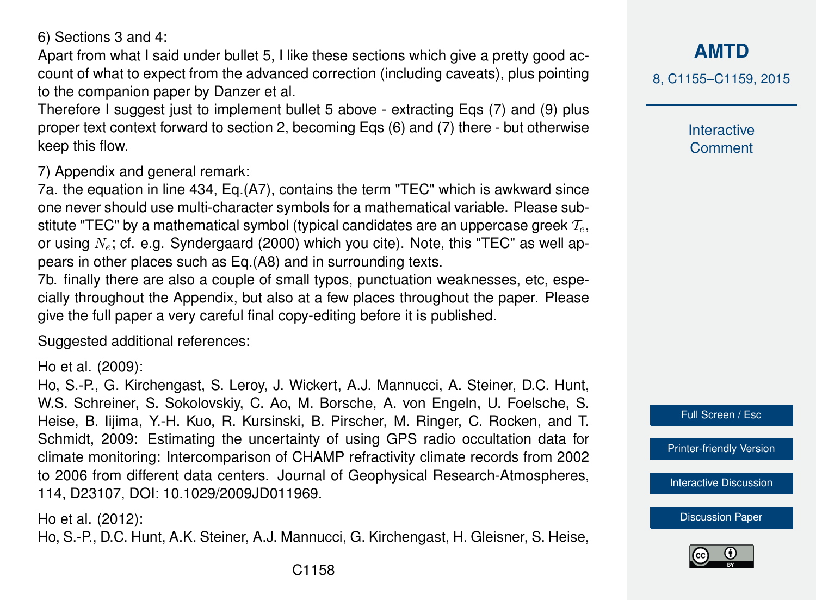6) Sections 3 and 4:

Apart from what I said under bullet 5, I like these sections which give a pretty good account of what to expect from the advanced correction (including caveats), plus pointing to the companion paper by Danzer et al.

Therefore I suggest just to implement bullet 5 above - extracting Eqs (7) and (9) plus proper text context forward to section 2, becoming Eqs (6) and (7) there - but otherwise keep this flow.

7) Appendix and general remark:

7a. the equation in line 434, Eq.(A7), contains the term "TEC" which is awkward since one never should use multi-character symbols for a mathematical variable. Please substitute "TEC" by a mathematical symbol (typical candidates are an uppercase greek  $\mathcal{T}_e$ , or using  $N_e$ ; cf. e.g. Syndergaard (2000) which you cite). Note, this "TEC" as well appears in other places such as Eq.(A8) and in surrounding texts.

7b. finally there are also a couple of small typos, punctuation weaknesses, etc, especially throughout the Appendix, but also at a few places throughout the paper. Please give the full paper a very careful final copy-editing before it is published.

Suggested additional references:

Ho et al. (2009):

Ho, S.-P., G. Kirchengast, S. Leroy, J. Wickert, A.J. Mannucci, A. Steiner, D.C. Hunt, W.S. Schreiner, S. Sokolovskiy, C. Ao, M. Borsche, A. von Engeln, U. Foelsche, S. Heise, B. Iijima, Y.-H. Kuo, R. Kursinski, B. Pirscher, M. Ringer, C. Rocken, and T. Schmidt, 2009: Estimating the uncertainty of using GPS radio occultation data for climate monitoring: Intercomparison of CHAMP refractivity climate records from 2002 to 2006 from different data centers. Journal of Geophysical Research-Atmospheres, 114, D23107, DOI: 10.1029/2009JD011969.

Ho et al. (2012):

Ho, S.-P., D.C. Hunt, A.K. Steiner, A.J. Mannucci, G. Kirchengast, H. Gleisner, S. Heise,

**[AMTD](http://www.atmos-meas-tech-discuss.net)**

8, C1155–C1159, 2015

Interactive **Comment** 



[Printer-friendly Version](http://www.atmos-meas-tech-discuss.net/8/C1155/2015/amtd-8-C1155-2015-print.pdf)

[Interactive Discussion](http://www.atmos-meas-tech-discuss.net/8/1177/2015/amtd-8-1177-2015-discussion.html)